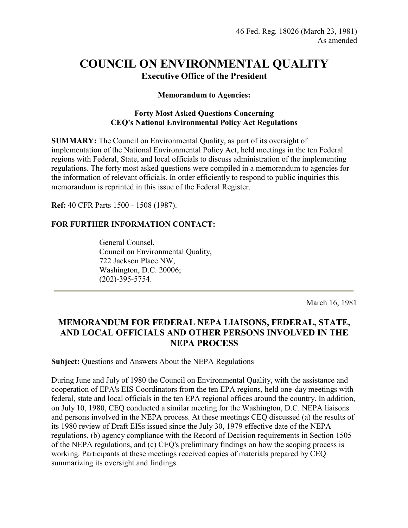# **COUNCIL ON ENVIRONMENTAL QUALITY Executive Office of the President**

#### **Memorandum to Agencies:**

#### **Forty Most Asked Questions Concerning CEQ's National Environmental Policy Act Regulations**

**SUMMARY:** The Council on Environmental Quality, as part of its oversight of implementation of the National Environmental Policy Act, held meetings in the ten Federal regions with Federal, State, and local officials to discuss administration of the implementing regulations. The forty most asked questions were compiled in a memorandum to agencies for the information of relevant officials. In order efficiently to respond to public inquiries this memorandum is reprinted in this issue of the Federal Register.

**Ref:** 40 CFR Parts 1500 - 1508 (1987).

## **FOR FURTHER INFORMATION CONTACT:**

General Counsel, Council on Environmental Quality, 722 Jackson Place NW, Washington, D.C. 20006; (202)-395-5754.

March 16, 1981

# **MEMORANDUM FOR FEDERAL NEPA LIAISONS, FEDERAL, STATE, AND LOCAL OFFICIALS AND OTHER PERSONS INVOLVED IN THE NEPA PROCESS**

**Subject:** Questions and Answers About the NEPA Regulations

During June and July of 1980 the Council on Environmental Quality, with the assistance and cooperation of EPA's EIS Coordinators from the ten EPA regions, held one-day meetings with federal, state and local officials in the ten EPA regional offices around the country. In addition, on July 10, 1980, CEQ conducted a similar meeting for the Washington, D.C. NEPA liaisons and persons involved in the NEPA process. At these meetings CEQ discussed (a) the results of its 1980 review of Draft EISs issued since the July 30, 1979 effective date of the NEPA regulations, (b) agency compliance with the Record of Decision requirements in Section 1505 of the NEPA regulations, and (c) CEQ's preliminary findings on how the scoping process is working. Participants at these meetings received copies of materials prepared by CEQ summarizing its oversight and findings.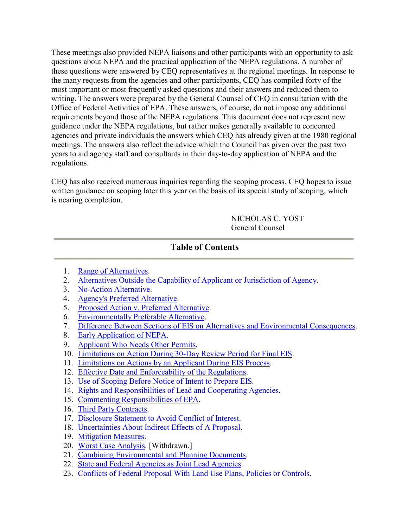These meetings also provided NEPA liaisons and other participants with an opportunity to ask questions about NEPA and the practical application of the NEPA regulations. A number of these questions were answered by CEQ representatives at the regional meetings. In response to the many requests from the agencies and other participants, CEQ has compiled forty of the most important or most frequently asked questions and their answers and reduced them to writing. The answers were prepared by the General Counsel of CEQ in consultation with the Office of Federal Activities of EPA. These answers, of course, do not impose any additional requirements beyond those of the NEPA regulations. This document does not represent new guidance under the NEPA regulations, but rather makes generally available to concerned agencies and private individuals the answers which CEQ has already given at the 1980 regional meetings. The answers also reflect the advice which the Council has given over the past two years to aid agency staff and consultants in their day-to-day application of NEPA and the regulations.

CEQ has also received numerous inquiries regarding the scoping process. CEQ hopes to issue written guidance on scoping later this year on the basis of its special study of scoping, which is nearing completion.

> NICHOLAS C. YOST General Counsel

# **Table of Contents**

- 1. [Range of Alternatives.](#page-2-0)
- 2. [Alternatives Outside the Capability of Applicant or Jurisdiction of Agency.](#page-2-1)
- 3. [No-Action Alternative.](#page-3-0)
- 4. [Agency's Preferred Alternative.](#page-4-0)
- 5. [Proposed Action v. Preferred Alternative.](#page-4-1)
- 6. [Environmentally Preferable Alternative.](#page-5-0)
- 7. [Difference Between Sections of EIS on Alternatives and Environmental Consequences.](#page-6-0)
- 8. [Early Application of NEPA.](#page-6-1)
- 9. [Applicant Who Needs Other Permits.](#page-7-0)
- 10. [Limitations on Action During 30-Day Review Period for Final EIS.](#page-8-0)
- 11. [Limitations on Actions by an Applicant During EIS Process.](#page-8-1)
- 12. [Effective Date and Enforceability of the Regulations.](#page-9-0)
- 13. [Use of Scoping Before Notice of Intent to Prepare EIS.](#page-9-1)
- 14. [Rights and Responsibilities of Lead and Cooperating Agencies.](#page-10-0)
- 15. [Commenting Responsibilities of EPA.](#page-12-0)
- 16. [Third Party Contracts.](#page-12-1)
- 17. [Disclosure Statement to Avoid Conflict of Interest.](#page-12-2)
- 18. [Uncertainties About Indirect Effects of A Proposal.](#page-13-0)
- 19. [Mitigation Measures.](#page-13-1)
- 20. [Worst Case](#page-14-0) Analysis. [Withdrawn.]
- 21. [Combining Environmental and Planning Documents.](#page-14-1)
- 22. [State and Federal Agencies as Joint Lead Agencies.](#page-15-0)
- 23. [Conflicts of Federal Proposal With Land Use Plans, Policies or Controls.](#page-16-0)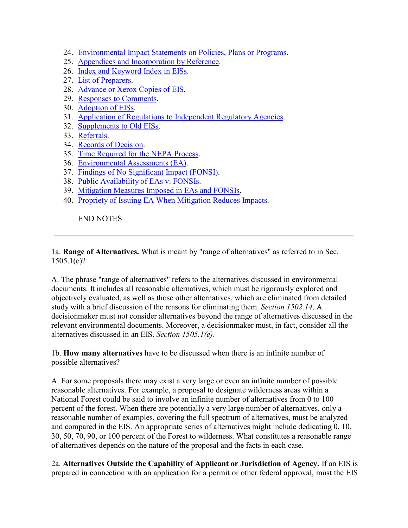- 24. [Environmental Impact Statements on Policies, Plans or Programs.](#page-17-0)
- 25. [Appendices and Incorporation by Reference.](#page-17-1)
- 26. [Index and Keyword Index in EISs.](#page-18-0)
- 27. [List of Preparers.](#page-19-0)
- 28. [Advance or Xerox Copies of EIS.](#page-20-0)
- 29. [Responses to Comments.](#page-20-1)
- 30. [Adoption of EISs.](#page-22-0)
- 31. [Application of Regulations to Independent Regulatory Agencies.](#page-22-1)
- 32. [Supplements to Old EISs.](#page-23-0)
- 33. [Referrals.](#page-23-1)
- 34. [Records of Decision.](#page-24-0)
- 35. [Time Required for the NEPA Process.](#page-25-0)
- 36. [Environmental Assessments \(EA\).](#page-25-1)
- 37. [Findings of No Significant Impact \(FONSI\).](#page-26-0)
- 38. [Public Availability of EAs v. FONSIs.](#page-26-1)
- 39. [Mitigation Measures Imposed in EAs and FONSIs.](#page-27-0)
- 40. [Propriety of Issuing EA When Mitigation Reduces Impacts.](#page-27-1)

END NOTES

<span id="page-2-0"></span>1a. **Range of Alternatives.** What is meant by "range of alternatives" as referred to in Sec. 1505.1(e)?

A. The phrase "range of alternatives" refers to the alternatives discussed in environmental documents. It includes all reasonable alternatives, which must be rigorously explored and objectively evaluated, as well as those other alternatives, which are eliminated from detailed study with a brief discussion of the reasons for eliminating them. *Section 1502.14*. A decisionmaker must not consider alternatives beyond the range of alternatives discussed in the relevant environmental documents. Moreover, a decisionmaker must, in fact, consider all the alternatives discussed in an EIS. *Section 1505.1(e)*.

1b. **How many alternatives** have to be discussed when there is an infinite number of possible alternatives?

A. For some proposals there may exist a very large or even an infinite number of possible reasonable alternatives. For example, a proposal to designate wilderness areas within a National Forest could be said to involve an infinite number of alternatives from 0 to 100 percent of the forest. When there are potentially a very large number of alternatives, only a reasonable number of examples, covering the full spectrum of alternatives, must be analyzed and compared in the EIS. An appropriate series of alternatives might include dedicating 0, 10, 30, 50, 70, 90, or 100 percent of the Forest to wilderness. What constitutes a reasonable range of alternatives depends on the nature of the proposal and the facts in each case.

<span id="page-2-1"></span>2a. **Alternatives Outside the Capability of Applicant or Jurisdiction of Agency.** If an EIS is prepared in connection with an application for a permit or other federal approval, must the EIS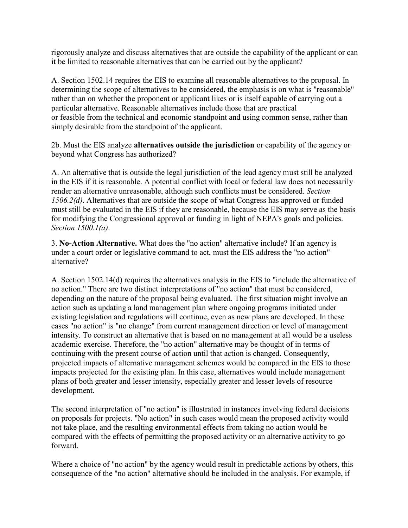rigorously analyze and discuss alternatives that are outside the capability of the applicant or can it be limited to reasonable alternatives that can be carried out by the applicant?

A. Section 1502.14 requires the EIS to examine all reasonable alternatives to the proposal. In determining the scope of alternatives to be considered, the emphasis is on what is "reasonable" rather than on whether the proponent or applicant likes or is itself capable of carrying out a particular alternative. Reasonable alternatives include those that are practical or feasible from the technical and economic standpoint and using common sense, rather than simply desirable from the standpoint of the applicant.

2b. Must the EIS analyze **alternatives outside the jurisdiction** or capability of the agency or beyond what Congress has authorized?

A. An alternative that is outside the legal jurisdiction of the lead agency must still be analyzed in the EIS if it is reasonable. A potential conflict with local or federal law does not necessarily render an alternative unreasonable, although such conflicts must be considered. *Section 1506.2(d)*. Alternatives that are outside the scope of what Congress has approved or funded must still be evaluated in the EIS if they are reasonable, because the EIS may serve as the basis for modifying the Congressional approval or funding in light of NEPA's goals and policies. *Section 1500.1(a)*.

<span id="page-3-0"></span>3. **No-Action Alternative.** What does the "no action" alternative include? If an agency is under a court order or legislative command to act, must the EIS address the "no action" alternative?

A. Section 1502.14(d) requires the alternatives analysis in the EIS to "include the alternative of no action." There are two distinct interpretations of "no action" that must be considered, depending on the nature of the proposal being evaluated. The first situation might involve an action such as updating a land management plan where ongoing programs initiated under existing legislation and regulations will continue, even as new plans are developed. In these cases "no action" is "no change" from current management direction or level of management intensity. To construct an alternative that is based on no management at all would be a useless academic exercise. Therefore, the "no action" alternative may be thought of in terms of continuing with the present course of action until that action is changed. Consequently, projected impacts of alternative management schemes would be compared in the EIS to those impacts projected for the existing plan. In this case, alternatives would include management plans of both greater and lesser intensity, especially greater and lesser levels of resource development.

The second interpretation of "no action" is illustrated in instances involving federal decisions on proposals for projects. "No action" in such cases would mean the proposed activity would not take place, and the resulting environmental effects from taking no action would be compared with the effects of permitting the proposed activity or an alternative activity to go forward.

Where a choice of "no action" by the agency would result in predictable actions by others, this consequence of the "no action" alternative should be included in the analysis. For example, if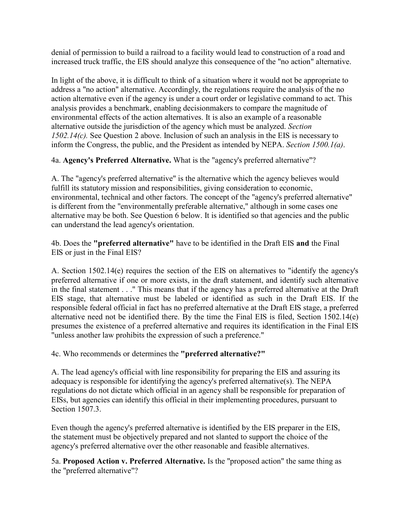denial of permission to build a railroad to a facility would lead to construction of a road and increased truck traffic, the EIS should analyze this consequence of the "no action" alternative.

In light of the above, it is difficult to think of a situation where it would not be appropriate to address a "no action" alternative. Accordingly, the regulations require the analysis of the no action alternative even if the agency is under a court order or legislative command to act. This analysis provides a benchmark, enabling decisionmakers to compare the magnitude of environmental effects of the action alternatives. It is also an example of a reasonable alternative outside the jurisdiction of the agency which must be analyzed. *Section 1502.14(c).* See Question 2 above. Inclusion of such an analysis in the EIS is necessary to inform the Congress, the public, and the President as intended by NEPA. *Section 1500.1(a)*.

<span id="page-4-0"></span>4a. **Agency's Preferred Alternative.** What is the "agency's preferred alternative"?

A. The "agency's preferred alternative" is the alternative which the agency believes would fulfill its statutory mission and responsibilities, giving consideration to economic, environmental, technical and other factors. The concept of the "agency's preferred alternative" is different from the "environmentally preferable alternative," although in some cases one alternative may be both. See Question 6 below. It is identified so that agencies and the public can understand the lead agency's orientation.

4b. Does the **"preferred alternative"** have to be identified in the Draft EIS **and** the Final EIS or just in the Final EIS?

A. Section 1502.14(e) requires the section of the EIS on alternatives to "identify the agency's preferred alternative if one or more exists, in the draft statement, and identify such alternative in the final statement . . ." This means that if the agency has a preferred alternative at the Draft EIS stage, that alternative must be labeled or identified as such in the Draft EIS. If the responsible federal official in fact has no preferred alternative at the Draft EIS stage, a preferred alternative need not be identified there. By the time the Final EIS is filed, Section 1502.14(e) presumes the existence of a preferred alternative and requires its identification in the Final EIS "unless another law prohibits the expression of such a preference."

4c. Who recommends or determines the **"preferred alternative?"**

A. The lead agency's official with line responsibility for preparing the EIS and assuring its adequacy is responsible for identifying the agency's preferred alternative(s). The NEPA regulations do not dictate which official in an agency shall be responsible for preparation of EISs, but agencies can identify this official in their implementing procedures, pursuant to Section 1507.3.

Even though the agency's preferred alternative is identified by the EIS preparer in the EIS, the statement must be objectively prepared and not slanted to support the choice of the agency's preferred alternative over the other reasonable and feasible alternatives.

<span id="page-4-1"></span>5a. **Proposed Action v. Preferred Alternative.** Is the "proposed action" the same thing as the "preferred alternative"?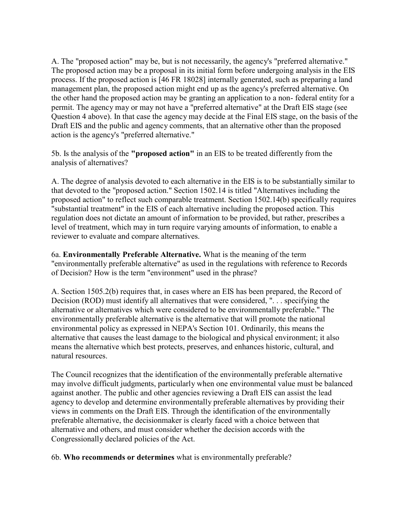A. The "proposed action" may be, but is not necessarily, the agency's "preferred alternative." The proposed action may be a proposal in its initial form before undergoing analysis in the EIS process. If the proposed action is [46 FR 18028] internally generated, such as preparing a land management plan, the proposed action might end up as the agency's preferred alternative. On the other hand the proposed action may be granting an application to a non- federal entity for a permit. The agency may or may not have a "preferred alternative" at the Draft EIS stage (see Question 4 above). In that case the agency may decide at the Final EIS stage, on the basis of the Draft EIS and the public and agency comments, that an alternative other than the proposed action is the agency's "preferred alternative."

5b. Is the analysis of the **"proposed action"** in an EIS to be treated differently from the analysis of alternatives?

A. The degree of analysis devoted to each alternative in the EIS is to be substantially similar to that devoted to the "proposed action." Section 1502.14 is titled "Alternatives including the proposed action" to reflect such comparable treatment. Section 1502.14(b) specifically requires "substantial treatment" in the EIS of each alternative including the proposed action. This regulation does not dictate an amount of information to be provided, but rather, prescribes a level of treatment, which may in turn require varying amounts of information, to enable a reviewer to evaluate and compare alternatives.

<span id="page-5-0"></span>6a. **Environmentally Preferable Alternative.** What is the meaning of the term "environmentally preferable alternative" as used in the regulations with reference to Records of Decision? How is the term "environment" used in the phrase?

A. Section 1505.2(b) requires that, in cases where an EIS has been prepared, the Record of Decision (ROD) must identify all alternatives that were considered, ". . . specifying the alternative or alternatives which were considered to be environmentally preferable." The environmentally preferable alternative is the alternative that will promote the national environmental policy as expressed in NEPA's Section 101. Ordinarily, this means the alternative that causes the least damage to the biological and physical environment; it also means the alternative which best protects, preserves, and enhances historic, cultural, and natural resources.

The Council recognizes that the identification of the environmentally preferable alternative may involve difficult judgments, particularly when one environmental value must be balanced against another. The public and other agencies reviewing a Draft EIS can assist the lead agency to develop and determine environmentally preferable alternatives by providing their views in comments on the Draft EIS. Through the identification of the environmentally preferable alternative, the decisionmaker is clearly faced with a choice between that alternative and others, and must consider whether the decision accords with the Congressionally declared policies of the Act.

6b. **Who recommends or determines** what is environmentally preferable?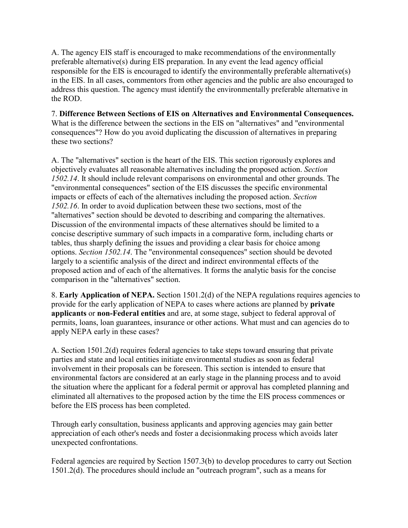A. The agency EIS staff is encouraged to make recommendations of the environmentally preferable alternative(s) during EIS preparation. In any event the lead agency official responsible for the EIS is encouraged to identify the environmentally preferable alternative(s) in the EIS. In all cases, commentors from other agencies and the public are also encouraged to address this question. The agency must identify the environmentally preferable alternative in the ROD.

#### <span id="page-6-0"></span>7. **Difference Between Sections of EIS on Alternatives and Environmental Consequences.**

What is the difference between the sections in the EIS on "alternatives" and "environmental consequences"? How do you avoid duplicating the discussion of alternatives in preparing these two sections?

A. The "alternatives" section is the heart of the EIS. This section rigorously explores and objectively evaluates all reasonable alternatives including the proposed action. *Section 1502.14*. It should include relevant comparisons on environmental and other grounds. The "environmental consequences" section of the EIS discusses the specific environmental impacts or effects of each of the alternatives including the proposed action. *Section 1502.16*. In order to avoid duplication between these two sections, most of the "alternatives" section should be devoted to describing and comparing the alternatives. Discussion of the environmental impacts of these alternatives should be limited to a concise descriptive summary of such impacts in a comparative form, including charts or tables, thus sharply defining the issues and providing a clear basis for choice among options. *Section 1502.14*. The "environmental consequences" section should be devoted largely to a scientific analysis of the direct and indirect environmental effects of the proposed action and of each of the alternatives. It forms the analytic basis for the concise comparison in the "alternatives" section.

<span id="page-6-1"></span>8. **Early Application of NEPA.** Section 1501.2(d) of the NEPA regulations requires agencies to provide for the early application of NEPA to cases where actions are planned by **private applicants** or **non-Federal entities** and are, at some stage, subject to federal approval of permits, loans, loan guarantees, insurance or other actions. What must and can agencies do to apply NEPA early in these cases?

A. Section 1501.2(d) requires federal agencies to take steps toward ensuring that private parties and state and local entities initiate environmental studies as soon as federal involvement in their proposals can be foreseen. This section is intended to ensure that environmental factors are considered at an early stage in the planning process and to avoid the situation where the applicant for a federal permit or approval has completed planning and eliminated all alternatives to the proposed action by the time the EIS process commences or before the EIS process has been completed.

Through early consultation, business applicants and approving agencies may gain better appreciation of each other's needs and foster a decisionmaking process which avoids later unexpected confrontations.

Federal agencies are required by Section 1507.3(b) to develop procedures to carry out Section 1501.2(d). The procedures should include an "outreach program", such as a means for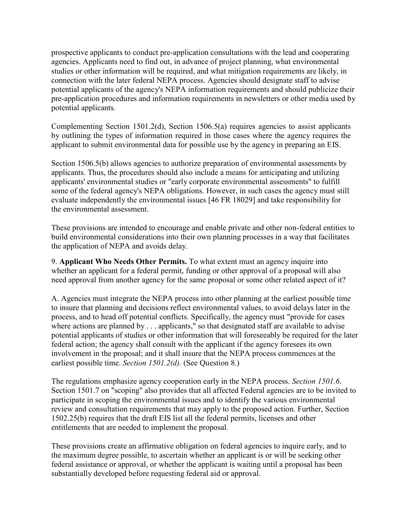prospective applicants to conduct pre-application consultations with the lead and cooperating agencies. Applicants need to find out, in advance of project planning, what environmental studies or other information will be required, and what mitigation requirements are likely, in connection with the later federal NEPA process. Agencies should designate staff to advise potential applicants of the agency's NEPA information requirements and should publicize their pre-application procedures and information requirements in newsletters or other media used by potential applicants.

Complementing Section 1501.2(d), Section 1506.5(a) requires agencies to assist applicants by outlining the types of information required in those cases where the agency requires the applicant to submit environmental data for possible use by the agency in preparing an EIS.

Section 1506.5(b) allows agencies to authorize preparation of environmental assessments by applicants. Thus, the procedures should also include a means for anticipating and utilizing applicants' environmental studies or "early corporate environmental assessments" to fulfill some of the federal agency's NEPA obligations. However, in such cases the agency must still evaluate independently the environmental issues [46 FR 18029] and take responsibility for the environmental assessment.

These provisions are intended to encourage and enable private and other non-federal entities to build environmental considerations into their own planning processes in a way that facilitates the application of NEPA and avoids delay.

<span id="page-7-0"></span>9. **Applicant Who Needs Other Permits.** To what extent must an agency inquire into whether an applicant for a federal permit, funding or other approval of a proposal will also need approval from another agency for the same proposal or some other related aspect of it?

A. Agencies must integrate the NEPA process into other planning at the earliest possible time to insure that planning and decisions reflect environmental values, to avoid delays later in the process, and to head off potential conflicts. Specifically, the agency must "provide for cases where actions are planned by . . . applicants," so that designated staff are available to advise potential applicants of studies or other information that will foreseeably be required for the later federal action; the agency shall consult with the applicant if the agency foresees its own involvement in the proposal; and it shall insure that the NEPA process commences at the earliest possible time. *Section 1501.2(d).* (See Question 8.)

The regulations emphasize agency cooperation early in the NEPA process. *Section 1501.6*. Section 1501.7 on "scoping" also provides that all affected Federal agencies are to be invited to participate in scoping the environmental issues and to identify the various environmental review and consultation requirements that may apply to the proposed action. Further, Section 1502.25(b) requires that the draft EIS list all the federal permits, licenses and other entitlements that are needed to implement the proposal.

These provisions create an affirmative obligation on federal agencies to inquire early, and to the maximum degree possible, to ascertain whether an applicant is or will be seeking other federal assistance or approval, or whether the applicant is waiting until a proposal has been substantially developed before requesting federal aid or approval.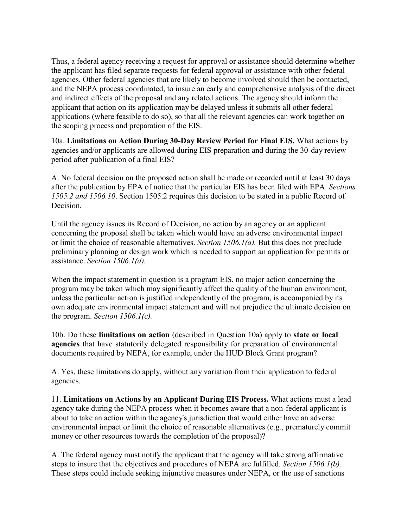Thus, a federal agency receiving a request for approval or assistance should determine whether the applicant has filed separate requests for federal approval or assistance with other federal agencies. Other federal agencies that are likely to become involved should then be contacted, and the NEPA process coordinated, to insure an early and comprehensive analysis of the direct and indirect effects of the proposal and any related actions. The agency should inform the applicant that action on its application may be delayed unless it submits all other federal applications (where feasible to do so), so that all the relevant agencies can work together on the scoping process and preparation of the EIS.

<span id="page-8-0"></span>10a. **Limitations on Action During 30-Day Review Period for Final EIS.** What actions by agencies and/or applicants are allowed during EIS preparation and during the 30-day review period after publication of a final EIS?

A. No federal decision on the proposed action shall be made or recorded until at least 30 days after the publication by EPA of notice that the particular EIS has been filed with EPA. *Sections 1505.2 and 1506.10*. Section 1505.2 requires this decision to be stated in a public Record of Decision.

Until the agency issues its Record of Decision, no action by an agency or an applicant concerning the proposal shall be taken which would have an adverse environmental impact or limit the choice of reasonable alternatives. *Section 1506.1(a).* But this does not preclude preliminary planning or design work which is needed to support an application for permits or assistance. *Section 1506.1(d).*

When the impact statement in question is a program EIS, no major action concerning the program may be taken which may significantly affect the quality of the human environment, unless the particular action is justified independently of the program, is accompanied by its own adequate environmental impact statement and will not prejudice the ultimate decision on the program. *Section 1506.1(c).*

10b. Do these **limitations on action** (described in Question 10a) apply to **state or local agencies** that have statutorily delegated responsibility for preparation of environmental documents required by NEPA, for example, under the HUD Block Grant program?

A. Yes, these limitations do apply, without any variation from their application to federal agencies.

<span id="page-8-1"></span>11. **Limitations on Actions by an Applicant During EIS Process.** What actions must a lead agency take during the NEPA process when it becomes aware that a non-federal applicant is about to take an action within the agency's jurisdiction that would either have an adverse environmental impact or limit the choice of reasonable alternatives (e.g., prematurely commit money or other resources towards the completion of the proposal)?

A. The federal agency must notify the applicant that the agency will take strong affirmative steps to insure that the objectives and procedures of NEPA are fulfilled. *Section 1506.1(b).* These steps could include seeking injunctive measures under NEPA, or the use of sanctions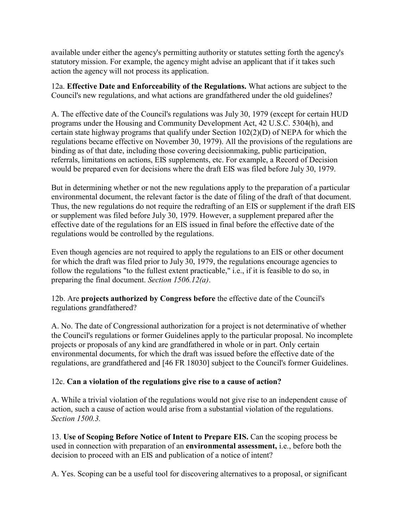available under either the agency's permitting authority or statutes setting forth the agency's statutory mission. For example, the agency might advise an applicant that if it takes such action the agency will not process its application.

<span id="page-9-0"></span>12a. **Effective Date and Enforceability of the Regulations.** What actions are subject to the Council's new regulations, and what actions are grandfathered under the old guidelines?

A. The effective date of the Council's regulations was July 30, 1979 (except for certain HUD programs under the Housing and Community Development Act, 42 U.S.C. 5304(h), and certain state highway programs that qualify under Section 102(2)(D) of NEPA for which the regulations became effective on November 30, 1979). All the provisions of the regulations are binding as of that date, including those covering decisionmaking, public participation, referrals, limitations on actions, EIS supplements, etc. For example, a Record of Decision would be prepared even for decisions where the draft EIS was filed before July 30, 1979.

But in determining whether or not the new regulations apply to the preparation of a particular environmental document, the relevant factor is the date of filing of the draft of that document. Thus, the new regulations do not require the redrafting of an EIS or supplement if the draft EIS or supplement was filed before July 30, 1979. However, a supplement prepared after the effective date of the regulations for an EIS issued in final before the effective date of the regulations would be controlled by the regulations.

Even though agencies are not required to apply the regulations to an EIS or other document for which the draft was filed prior to July 30, 1979, the regulations encourage agencies to follow the regulations "to the fullest extent practicable," i.e., if it is feasible to do so, in preparing the final document. *Section 1506.12(a)*.

## 12b. Are **projects authorized by Congress before** the effective date of the Council's regulations grandfathered?

A. No. The date of Congressional authorization for a project is not determinative of whether the Council's regulations or former Guidelines apply to the particular proposal. No incomplete projects or proposals of any kind are grandfathered in whole or in part. Only certain environmental documents, for which the draft was issued before the effective date of the regulations, are grandfathered and [46 FR 18030] subject to the Council's former Guidelines.

## 12c. **Can a violation of the regulations give rise to a cause of action?**

A. While a trivial violation of the regulations would not give rise to an independent cause of action, such a cause of action would arise from a substantial violation of the regulations. *Section 1500.3.*

<span id="page-9-1"></span>13. **Use of Scoping Before Notice of Intent to Prepare EIS.** Can the scoping process be used in connection with preparation of an **environmental assessment,** i.e., before both the decision to proceed with an EIS and publication of a notice of intent?

A. Yes. Scoping can be a useful tool for discovering alternatives to a proposal, or significant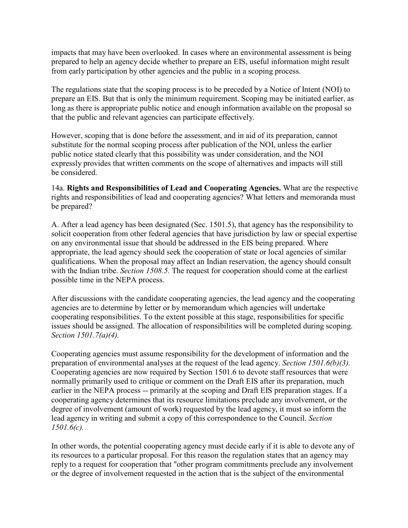impacts that may have been overlooked. In cases where an environmental assessment is being prepared to help an agency decide whether to prepare an EIS, useful information might result from early participation by other agencies and the public in a scoping process.

The regulations state that the scoping process is to be preceded by a Notice of Intent (NOI) to prepare an EIS. But that is only the minimum requirement. Scoping may be initiated earlier, as long as there is appropriate public notice and enough information available on the proposal so that the public and relevant agencies can participate effectively.

However, scoping that is done before the assessment, and in aid of its preparation, cannot substitute for the normal scoping process after publication of the NOI, unless the earlier public notice stated clearly that this possibility was under consideration, and the NOI expressly provides that written comments on the scope of alternatives and impacts will still be considered.

<span id="page-10-0"></span>14a. **Rights and Responsibilities of Lead and Cooperating Agencies.** What are the respective rights and responsibilities of lead and cooperating agencies? What letters and memoranda must be prepared?

A. After a lead agency has been designated (Sec. 1501.5), that agency has the responsibility to solicit cooperation from other federal agencies that have jurisdiction by law or special expertise on any environmental issue that should be addressed in the EIS being prepared. Where appropriate, the lead agency should seek the cooperation of state or local agencies of similar qualifications. When the proposal may affect an Indian reservation, the agency should consult with the Indian tribe. *Section 1508.5.* The request for cooperation should come at the earliest possible time in the NEPA process.

After discussions with the candidate cooperating agencies, the lead agency and the cooperating agencies are to determine by letter or by memorandum which agencies will undertake cooperating responsibilities. To the extent possible at this stage, responsibilities for specific issues should be assigned. The allocation of responsibilities will be completed during scoping. *Section 1501.7(a)(4).*

Cooperating agencies must assume responsibility for the development of information and the preparation of environmental analyses at the request of the lead agency. *Section 1501.6(b)(3).* Cooperating agencies are now required by Section 1501.6 to devote staff resources that were normally primarily used to critique or comment on the Draft EIS after its preparation, much earlier in the NEPA process -- primarily at the scoping and Draft EIS preparation stages. If a cooperating agency determines that its resource limitations preclude any involvement, or the degree of involvement (amount of work) requested by the lead agency, it must so inform the lead agency in writing and submit a copy of this correspondence to the Council. *Section 1501.6(c).*

In other words, the potential cooperating agency must decide early if it is able to devote any of its resources to a particular proposal. For this reason the regulation states that an agency may reply to a request for cooperation that "other program commitments preclude any involvement or the degree of involvement requested in the action that is the subject of the environmental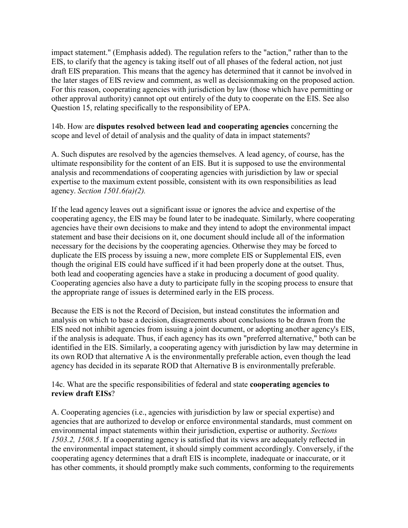impact statement." (Emphasis added). The regulation refers to the "action," rather than to the EIS, to clarify that the agency is taking itself out of all phases of the federal action, not just draft EIS preparation. This means that the agency has determined that it cannot be involved in the later stages of EIS review and comment, as well as decisionmaking on the proposed action. For this reason, cooperating agencies with jurisdiction by law (those which have permitting or other approval authority) cannot opt out entirely of the duty to cooperate on the EIS. See also Question 15, relating specifically to the responsibility of EPA.

14b. How are **disputes resolved between lead and cooperating agencies** concerning the scope and level of detail of analysis and the quality of data in impact statements?

A. Such disputes are resolved by the agencies themselves. A lead agency, of course, has the ultimate responsibility for the content of an EIS. But it is supposed to use the environmental analysis and recommendations of cooperating agencies with jurisdiction by law or special expertise to the maximum extent possible, consistent with its own responsibilities as lead agency. *Section 1501.6(a)(2).*

If the lead agency leaves out a significant issue or ignores the advice and expertise of the cooperating agency, the EIS may be found later to be inadequate. Similarly, where cooperating agencies have their own decisions to make and they intend to adopt the environmental impact statement and base their decisions on it, one document should include all of the information necessary for the decisions by the cooperating agencies. Otherwise they may be forced to duplicate the EIS process by issuing a new, more complete EIS or Supplemental EIS, even though the original EIS could have sufficed if it had been properly done at the outset. Thus, both lead and cooperating agencies have a stake in producing a document of good quality. Cooperating agencies also have a duty to participate fully in the scoping process to ensure that the appropriate range of issues is determined early in the EIS process.

Because the EIS is not the Record of Decision, but instead constitutes the information and analysis on which to base a decision, disagreements about conclusions to be drawn from the EIS need not inhibit agencies from issuing a joint document, or adopting another agency's EIS, if the analysis is adequate. Thus, if each agency has its own "preferred alternative," both can be identified in the EIS. Similarly, a cooperating agency with jurisdiction by law may determine in its own ROD that alternative A is the environmentally preferable action, even though the lead agency has decided in its separate ROD that Alternative B is environmentally preferable.

14c. What are the specific responsibilities of federal and state **cooperating agencies to review draft EISs**?

A. Cooperating agencies (i.e., agencies with jurisdiction by law or special expertise) and agencies that are authorized to develop or enforce environmental standards, must comment on environmental impact statements within their jurisdiction, expertise or authority. *Sections 1503.2, 1508.5*. If a cooperating agency is satisfied that its views are adequately reflected in the environmental impact statement, it should simply comment accordingly. Conversely, if the cooperating agency determines that a draft EIS is incomplete, inadequate or inaccurate, or it has other comments, it should promptly make such comments, conforming to the requirements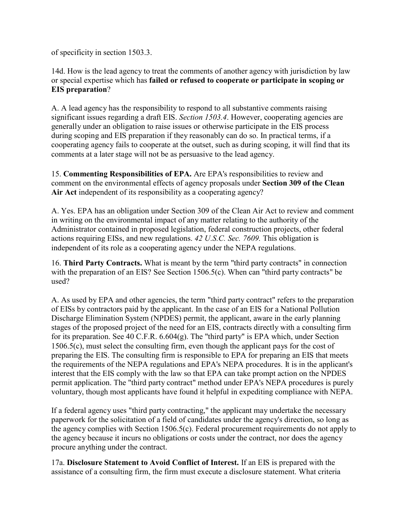of specificity in section 1503.3.

14d. How is the lead agency to treat the comments of another agency with jurisdiction by law or special expertise which has **failed or refused to cooperate or participate in scoping or EIS preparation**?

A. A lead agency has the responsibility to respond to all substantive comments raising significant issues regarding a draft EIS. *Section 1503.4*. However, cooperating agencies are generally under an obligation to raise issues or otherwise participate in the EIS process during scoping and EIS preparation if they reasonably can do so. In practical terms, if a cooperating agency fails to cooperate at the outset, such as during scoping, it will find that its comments at a later stage will not be as persuasive to the lead agency.

<span id="page-12-0"></span>15. **Commenting Responsibilities of EPA.** Are EPA's responsibilities to review and comment on the environmental effects of agency proposals under **Section 309 of the Clean Air Act** independent of its responsibility as a cooperating agency?

A. Yes. EPA has an obligation under Section 309 of the Clean Air Act to review and comment in writing on the environmental impact of any matter relating to the authority of the Administrator contained in proposed legislation, federal construction projects, other federal actions requiring EISs, and new regulations. *42 U.S.C. Sec. 7609.* This obligation is independent of its role as a cooperating agency under the NEPA regulations.

<span id="page-12-1"></span>16. **Third Party Contracts.** What is meant by the term "third party contracts" in connection with the preparation of an EIS? See Section 1506.5(c). When can "third party contracts" be used?

A. As used by EPA and other agencies, the term "third party contract" refers to the preparation of EISs by contractors paid by the applicant. In the case of an EIS for a National Pollution Discharge Elimination System (NPDES) permit, the applicant, aware in the early planning stages of the proposed project of the need for an EIS, contracts directly with a consulting firm for its preparation. See 40 C.F.R. 6.604(g). The "third party" is EPA which, under Section 1506.5(c), must select the consulting firm, even though the applicant pays for the cost of preparing the EIS. The consulting firm is responsible to EPA for preparing an EIS that meets the requirements of the NEPA regulations and EPA's NEPA procedures. It is in the applicant's interest that the EIS comply with the law so that EPA can take prompt action on the NPDES permit application. The "third party contract" method under EPA's NEPA procedures is purely voluntary, though most applicants have found it helpful in expediting compliance with NEPA.

If a federal agency uses "third party contracting," the applicant may undertake the necessary paperwork for the solicitation of a field of candidates under the agency's direction, so long as the agency complies with Section 1506.5(c). Federal procurement requirements do not apply to the agency because it incurs no obligations or costs under the contract, nor does the agency procure anything under the contract.

<span id="page-12-2"></span>17a. **Disclosure Statement to Avoid Conflict of Interest.** If an EIS is prepared with the assistance of a consulting firm, the firm must execute a disclosure statement. What criteria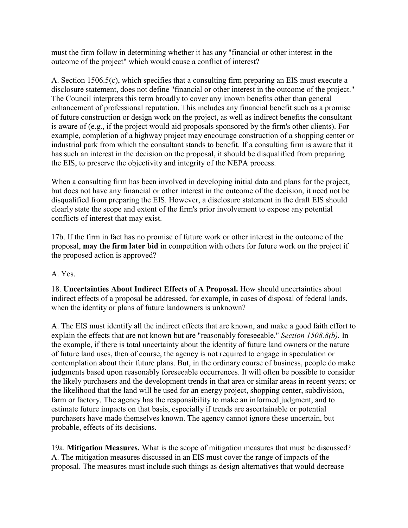must the firm follow in determining whether it has any "financial or other interest in the outcome of the project" which would cause a conflict of interest?

A. Section 1506.5(c), which specifies that a consulting firm preparing an EIS must execute a disclosure statement, does not define "financial or other interest in the outcome of the project." The Council interprets this term broadly to cover any known benefits other than general enhancement of professional reputation. This includes any financial benefit such as a promise of future construction or design work on the project, as well as indirect benefits the consultant is aware of (e.g., if the project would aid proposals sponsored by the firm's other clients). For example, completion of a highway project may encourage construction of a shopping center or industrial park from which the consultant stands to benefit. If a consulting firm is aware that it has such an interest in the decision on the proposal, it should be disqualified from preparing the EIS, to preserve the objectivity and integrity of the NEPA process.

When a consulting firm has been involved in developing initial data and plans for the project, but does not have any financial or other interest in the outcome of the decision, it need not be disqualified from preparing the EIS. However, a disclosure statement in the draft EIS should clearly state the scope and extent of the firm's prior involvement to expose any potential conflicts of interest that may exist.

17b. If the firm in fact has no promise of future work or other interest in the outcome of the proposal, **may the firm later bid** in competition with others for future work on the project if the proposed action is approved?

## A. Yes.

<span id="page-13-0"></span>18. **Uncertainties About Indirect Effects of A Proposal.** How should uncertainties about indirect effects of a proposal be addressed, for example, in cases of disposal of federal lands, when the identity or plans of future landowners is unknown?

A. The EIS must identify all the indirect effects that are known, and make a good faith effort to explain the effects that are not known but are "reasonably foreseeable." *Section 1508.8(b).* In the example, if there is total uncertainty about the identity of future land owners or the nature of future land uses, then of course, the agency is not required to engage in speculation or contemplation about their future plans. But, in the ordinary course of business, people do make judgments based upon reasonably foreseeable occurrences. It will often be possible to consider the likely purchasers and the development trends in that area or similar areas in recent years; or the likelihood that the land will be used for an energy project, shopping center, subdivision, farm or factory. The agency has the responsibility to make an informed judgment, and to estimate future impacts on that basis, especially if trends are ascertainable or potential purchasers have made themselves known. The agency cannot ignore these uncertain, but probable, effects of its decisions.

<span id="page-13-1"></span>19a. **Mitigation Measures.** What is the scope of mitigation measures that must be discussed? A. The mitigation measures discussed in an EIS must cover the range of impacts of the proposal. The measures must include such things as design alternatives that would decrease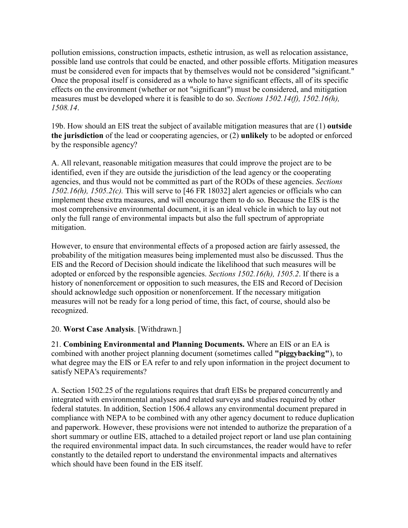pollution emissions, construction impacts, esthetic intrusion, as well as relocation assistance, possible land use controls that could be enacted, and other possible efforts. Mitigation measures must be considered even for impacts that by themselves would not be considered "significant." Once the proposal itself is considered as a whole to have significant effects, all of its specific effects on the environment (whether or not "significant") must be considered, and mitigation measures must be developed where it is feasible to do so. *Sections 1502.14(f), 1502.16(h), 1508.14*.

19b. How should an EIS treat the subject of available mitigation measures that are (1) **outside the jurisdiction** of the lead or cooperating agencies, or (2) **unlikely** to be adopted or enforced by the responsible agency?

A. All relevant, reasonable mitigation measures that could improve the project are to be identified, even if they are outside the jurisdiction of the lead agency or the cooperating agencies, and thus would not be committed as part of the RODs of these agencies. *Sections 1502.16(h), 1505.2(c).* This will serve to [46 FR 18032] alert agencies or officials who can implement these extra measures, and will encourage them to do so. Because the EIS is the most comprehensive environmental document, it is an ideal vehicle in which to lay out not only the full range of environmental impacts but also the full spectrum of appropriate mitigation.

However, to ensure that environmental effects of a proposed action are fairly assessed, the probability of the mitigation measures being implemented must also be discussed. Thus the EIS and the Record of Decision should indicate the likelihood that such measures will be adopted or enforced by the responsible agencies. *Sections 1502.16(h), 1505.2*. If there is a history of nonenforcement or opposition to such measures, the EIS and Record of Decision should acknowledge such opposition or nonenforcement. If the necessary mitigation measures will not be ready for a long period of time, this fact, of course, should also be recognized.

<span id="page-14-0"></span>20. **Worst Case Analysis**. [Withdrawn.]

<span id="page-14-1"></span>21. **Combining Environmental and Planning Documents.** Where an EIS or an EA is combined with another project planning document (sometimes called **"piggybacking"**), to what degree may the EIS or EA refer to and rely upon information in the project document to satisfy NEPA's requirements?

A. Section 1502.25 of the regulations requires that draft EISs be prepared concurrently and integrated with environmental analyses and related surveys and studies required by other federal statutes. In addition, Section 1506.4 allows any environmental document prepared in compliance with NEPA to be combined with any other agency document to reduce duplication and paperwork. However, these provisions were not intended to authorize the preparation of a short summary or outline EIS, attached to a detailed project report or land use plan containing the required environmental impact data. In such circumstances, the reader would have to refer constantly to the detailed report to understand the environmental impacts and alternatives which should have been found in the EIS itself.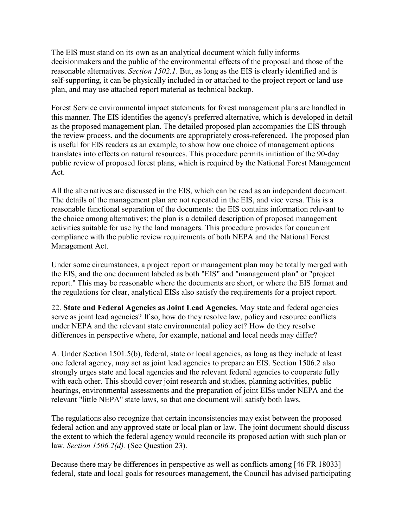The EIS must stand on its own as an analytical document which fully informs decisionmakers and the public of the environmental effects of the proposal and those of the reasonable alternatives. *Section 1502.1*. But, as long as the EIS is clearly identified and is self-supporting, it can be physically included in or attached to the project report or land use plan, and may use attached report material as technical backup.

Forest Service environmental impact statements for forest management plans are handled in this manner. The EIS identifies the agency's preferred alternative, which is developed in detail as the proposed management plan. The detailed proposed plan accompanies the EIS through the review process, and the documents are appropriately cross-referenced. The proposed plan is useful for EIS readers as an example, to show how one choice of management options translates into effects on natural resources. This procedure permits initiation of the 90-day public review of proposed forest plans, which is required by the National Forest Management Act.

All the alternatives are discussed in the EIS, which can be read as an independent document. The details of the management plan are not repeated in the EIS, and vice versa. This is a reasonable functional separation of the documents: the EIS contains information relevant to the choice among alternatives; the plan is a detailed description of proposed management activities suitable for use by the land managers. This procedure provides for concurrent compliance with the public review requirements of both NEPA and the National Forest Management Act.

Under some circumstances, a project report or management plan may be totally merged with the EIS, and the one document labeled as both "EIS" and "management plan" or "project report." This may be reasonable where the documents are short, or where the EIS format and the regulations for clear, analytical EISs also satisfy the requirements for a project report.

<span id="page-15-0"></span>22. **State and Federal Agencies as Joint Lead Agencies.** May state and federal agencies serve as joint lead agencies? If so, how do they resolve law, policy and resource conflicts under NEPA and the relevant state environmental policy act? How do they resolve differences in perspective where, for example, national and local needs may differ?

A. Under Section 1501.5(b), federal, state or local agencies, as long as they include at least one federal agency, may act as joint lead agencies to prepare an EIS. Section 1506.2 also strongly urges state and local agencies and the relevant federal agencies to cooperate fully with each other. This should cover joint research and studies, planning activities, public hearings, environmental assessments and the preparation of joint EISs under NEPA and the relevant "little NEPA" state laws, so that one document will satisfy both laws.

The regulations also recognize that certain inconsistencies may exist between the proposed federal action and any approved state or local plan or law. The joint document should discuss the extent to which the federal agency would reconcile its proposed action with such plan or law. *Section 1506.2(d).* (See Question 23).

Because there may be differences in perspective as well as conflicts among [46 FR 18033] federal, state and local goals for resources management, the Council has advised participating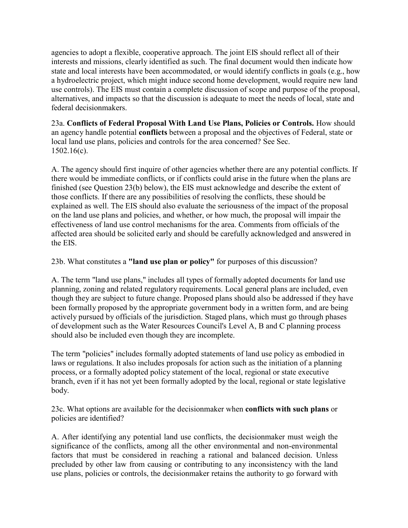agencies to adopt a flexible, cooperative approach. The joint EIS should reflect all of their interests and missions, clearly identified as such. The final document would then indicate how state and local interests have been accommodated, or would identify conflicts in goals (e.g., how a hydroelectric project, which might induce second home development, would require new land use controls). The EIS must contain a complete discussion of scope and purpose of the proposal, alternatives, and impacts so that the discussion is adequate to meet the needs of local, state and federal decisionmakers.

<span id="page-16-0"></span>23a. **Conflicts of Federal Proposal With Land Use Plans, Policies or Controls.** How should an agency handle potential **conflicts** between a proposal and the objectives of Federal, state or local land use plans, policies and controls for the area concerned? See Sec. 1502.16(c).

A. The agency should first inquire of other agencies whether there are any potential conflicts. If there would be immediate conflicts, or if conflicts could arise in the future when the plans are finished (see Question 23(b) below), the EIS must acknowledge and describe the extent of those conflicts. If there are any possibilities of resolving the conflicts, these should be explained as well. The EIS should also evaluate the seriousness of the impact of the proposal on the land use plans and policies, and whether, or how much, the proposal will impair the effectiveness of land use control mechanisms for the area. Comments from officials of the affected area should be solicited early and should be carefully acknowledged and answered in the EIS.

23b. What constitutes a **"land use plan or policy"** for purposes of this discussion?

A. The term "land use plans," includes all types of formally adopted documents for land use planning, zoning and related regulatory requirements. Local general plans are included, even though they are subject to future change. Proposed plans should also be addressed if they have been formally proposed by the appropriate government body in a written form, and are being actively pursued by officials of the jurisdiction. Staged plans, which must go through phases of development such as the Water Resources Council's Level A, B and C planning process should also be included even though they are incomplete.

The term "policies" includes formally adopted statements of land use policy as embodied in laws or regulations. It also includes proposals for action such as the initiation of a planning process, or a formally adopted policy statement of the local, regional or state executive branch, even if it has not yet been formally adopted by the local, regional or state legislative body.

23c. What options are available for the decisionmaker when **conflicts with such plans** or policies are identified?

A. After identifying any potential land use conflicts, the decisionmaker must weigh the significance of the conflicts, among all the other environmental and non-environmental factors that must be considered in reaching a rational and balanced decision. Unless precluded by other law from causing or contributing to any inconsistency with the land use plans, policies or controls, the decisionmaker retains the authority to go forward with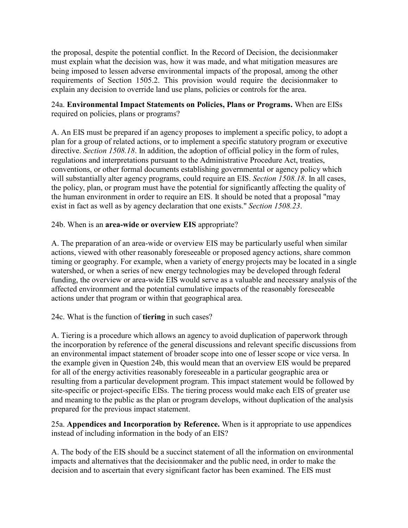the proposal, despite the potential conflict. In the Record of Decision, the decisionmaker must explain what the decision was, how it was made, and what mitigation measures are being imposed to lessen adverse environmental impacts of the proposal, among the other requirements of Section 1505.2. This provision would require the decisionmaker to explain any decision to override land use plans, policies or controls for the area.

<span id="page-17-0"></span>24a. **Environmental Impact Statements on Policies, Plans or Programs.** When are EISs required on policies, plans or programs?

A. An EIS must be prepared if an agency proposes to implement a specific policy, to adopt a plan for a group of related actions, or to implement a specific statutory program or executive directive. *Section 1508.18*. In addition, the adoption of official policy in the form of rules, regulations and interpretations pursuant to the Administrative Procedure Act, treaties, conventions, or other formal documents establishing governmental or agency policy which will substantially alter agency programs, could require an EIS. *Section 1508.18*. In all cases, the policy, plan, or program must have the potential for significantly affecting the quality of the human environment in order to require an EIS. It should be noted that a proposal "may exist in fact as well as by agency declaration that one exists." *Section 1508.23*.

24b. When is an **area-wide or overview EIS** appropriate?

A. The preparation of an area-wide or overview EIS may be particularly useful when similar actions, viewed with other reasonably foreseeable or proposed agency actions, share common timing or geography. For example, when a variety of energy projects may be located in a single watershed, or when a series of new energy technologies may be developed through federal funding, the overview or area-wide EIS would serve as a valuable and necessary analysis of the affected environment and the potential cumulative impacts of the reasonably foreseeable actions under that program or within that geographical area.

24c. What is the function of **tiering** in such cases?

A. Tiering is a procedure which allows an agency to avoid duplication of paperwork through the incorporation by reference of the general discussions and relevant specific discussions from an environmental impact statement of broader scope into one of lesser scope or vice versa. In the example given in Question 24b, this would mean that an overview EIS would be prepared for all of the energy activities reasonably foreseeable in a particular geographic area or resulting from a particular development program. This impact statement would be followed by site-specific or project-specific EISs. The tiering process would make each EIS of greater use and meaning to the public as the plan or program develops, without duplication of the analysis prepared for the previous impact statement.

<span id="page-17-1"></span>25a. **Appendices and Incorporation by Reference.** When is it appropriate to use appendices instead of including information in the body of an EIS?

A. The body of the EIS should be a succinct statement of all the information on environmental impacts and alternatives that the decisionmaker and the public need, in order to make the decision and to ascertain that every significant factor has been examined. The EIS must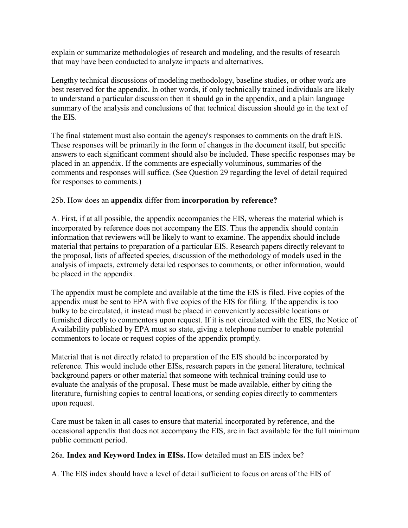explain or summarize methodologies of research and modeling, and the results of research that may have been conducted to analyze impacts and alternatives.

Lengthy technical discussions of modeling methodology, baseline studies, or other work are best reserved for the appendix. In other words, if only technically trained individuals are likely to understand a particular discussion then it should go in the appendix, and a plain language summary of the analysis and conclusions of that technical discussion should go in the text of the EIS.

The final statement must also contain the agency's responses to comments on the draft EIS. These responses will be primarily in the form of changes in the document itself, but specific answers to each significant comment should also be included. These specific responses may be placed in an appendix. If the comments are especially voluminous, summaries of the comments and responses will suffice. (See Question 29 regarding the level of detail required for responses to comments.)

## 25b. How does an **appendix** differ from **incorporation by reference?**

A. First, if at all possible, the appendix accompanies the EIS, whereas the material which is incorporated by reference does not accompany the EIS. Thus the appendix should contain information that reviewers will be likely to want to examine. The appendix should include material that pertains to preparation of a particular EIS. Research papers directly relevant to the proposal, lists of affected species, discussion of the methodology of models used in the analysis of impacts, extremely detailed responses to comments, or other information, would be placed in the appendix.

The appendix must be complete and available at the time the EIS is filed. Five copies of the appendix must be sent to EPA with five copies of the EIS for filing. If the appendix is too bulky to be circulated, it instead must be placed in conveniently accessible locations or furnished directly to commentors upon request. If it is not circulated with the EIS, the Notice of Availability published by EPA must so state, giving a telephone number to enable potential commentors to locate or request copies of the appendix promptly.

Material that is not directly related to preparation of the EIS should be incorporated by reference. This would include other EISs, research papers in the general literature, technical background papers or other material that someone with technical training could use to evaluate the analysis of the proposal. These must be made available, either by citing the literature, furnishing copies to central locations, or sending copies directly to commenters upon request.

Care must be taken in all cases to ensure that material incorporated by reference, and the occasional appendix that does not accompany the EIS, are in fact available for the full minimum public comment period.

<span id="page-18-0"></span>26a. **Index and Keyword Index in EISs.** How detailed must an EIS index be?

A. The EIS index should have a level of detail sufficient to focus on areas of the EIS of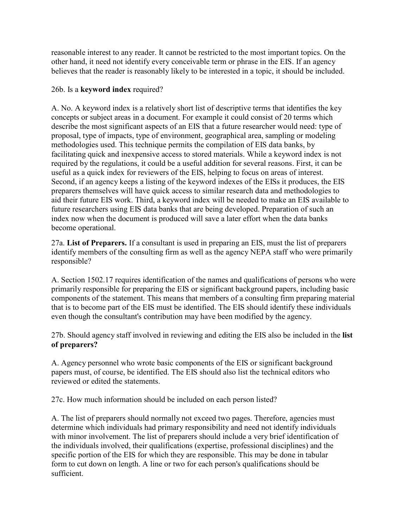reasonable interest to any reader. It cannot be restricted to the most important topics. On the other hand, it need not identify every conceivable term or phrase in the EIS. If an agency believes that the reader is reasonably likely to be interested in a topic, it should be included.

# 26b. Is a **keyword index** required?

A. No. A keyword index is a relatively short list of descriptive terms that identifies the key concepts or subject areas in a document. For example it could consist of 20 terms which describe the most significant aspects of an EIS that a future researcher would need: type of proposal, type of impacts, type of environment, geographical area, sampling or modeling methodologies used. This technique permits the compilation of EIS data banks, by facilitating quick and inexpensive access to stored materials. While a keyword index is not required by the regulations, it could be a useful addition for several reasons. First, it can be useful as a quick index for reviewers of the EIS, helping to focus on areas of interest. Second, if an agency keeps a listing of the keyword indexes of the EISs it produces, the EIS preparers themselves will have quick access to similar research data and methodologies to aid their future EIS work. Third, a keyword index will be needed to make an EIS available to future researchers using EIS data banks that are being developed. Preparation of such an index now when the document is produced will save a later effort when the data banks become operational.

<span id="page-19-0"></span>27a. **List of Preparers.** If a consultant is used in preparing an EIS, must the list of preparers identify members of the consulting firm as well as the agency NEPA staff who were primarily responsible?

A. Section 1502.17 requires identification of the names and qualifications of persons who were primarily responsible for preparing the EIS or significant background papers, including basic components of the statement. This means that members of a consulting firm preparing material that is to become part of the EIS must be identified. The EIS should identify these individuals even though the consultant's contribution may have been modified by the agency.

27b. Should agency staff involved in reviewing and editing the EIS also be included in the **list of preparers?**

A. Agency personnel who wrote basic components of the EIS or significant background papers must, of course, be identified. The EIS should also list the technical editors who reviewed or edited the statements.

27c. How much information should be included on each person listed?

A. The list of preparers should normally not exceed two pages. Therefore, agencies must determine which individuals had primary responsibility and need not identify individuals with minor involvement. The list of preparers should include a very brief identification of the individuals involved, their qualifications (expertise, professional disciplines) and the specific portion of the EIS for which they are responsible. This may be done in tabular form to cut down on length. A line or two for each person's qualifications should be sufficient.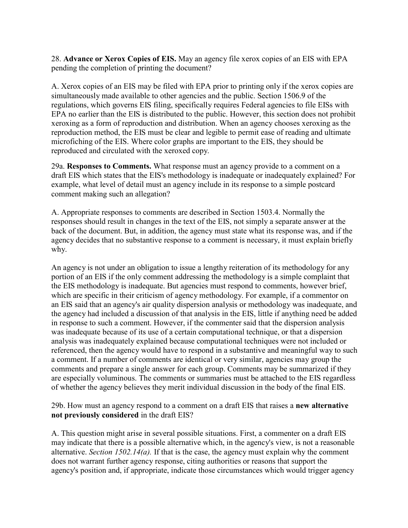<span id="page-20-0"></span>28. **Advance or Xerox Copies of EIS.** May an agency file xerox copies of an EIS with EPA pending the completion of printing the document?

A. Xerox copies of an EIS may be filed with EPA prior to printing only if the xerox copies are simultaneously made available to other agencies and the public. Section 1506.9 of the regulations, which governs EIS filing, specifically requires Federal agencies to file EISs with EPA no earlier than the EIS is distributed to the public. However, this section does not prohibit xeroxing as a form of reproduction and distribution. When an agency chooses xeroxing as the reproduction method, the EIS must be clear and legible to permit ease of reading and ultimate microfiching of the EIS. Where color graphs are important to the EIS, they should be reproduced and circulated with the xeroxed copy.

<span id="page-20-1"></span>29a. **Responses to Comments.** What response must an agency provide to a comment on a draft EIS which states that the EIS's methodology is inadequate or inadequately explained? For example, what level of detail must an agency include in its response to a simple postcard comment making such an allegation?

A. Appropriate responses to comments are described in Section 1503.4. Normally the responses should result in changes in the text of the EIS, not simply a separate answer at the back of the document. But, in addition, the agency must state what its response was, and if the agency decides that no substantive response to a comment is necessary, it must explain briefly why.

An agency is not under an obligation to issue a lengthy reiteration of its methodology for any portion of an EIS if the only comment addressing the methodology is a simple complaint that the EIS methodology is inadequate. But agencies must respond to comments, however brief, which are specific in their criticism of agency methodology. For example, if a commentor on an EIS said that an agency's air quality dispersion analysis or methodology was inadequate, and the agency had included a discussion of that analysis in the EIS, little if anything need be added in response to such a comment. However, if the commenter said that the dispersion analysis was inadequate because of its use of a certain computational technique, or that a dispersion analysis was inadequately explained because computational techniques were not included or referenced, then the agency would have to respond in a substantive and meaningful way to such a comment. If a number of comments are identical or very similar, agencies may group the comments and prepare a single answer for each group. Comments may be summarized if they are especially voluminous. The comments or summaries must be attached to the EIS regardless of whether the agency believes they merit individual discussion in the body of the final EIS.

29b. How must an agency respond to a comment on a draft EIS that raises a **new alternative not previously considered** in the draft EIS?

A. This question might arise in several possible situations. First, a commenter on a draft EIS may indicate that there is a possible alternative which, in the agency's view, is not a reasonable alternative. *Section 1502.14(a).* If that is the case, the agency must explain why the comment does not warrant further agency response, citing authorities or reasons that support the agency's position and, if appropriate, indicate those circumstances which would trigger agency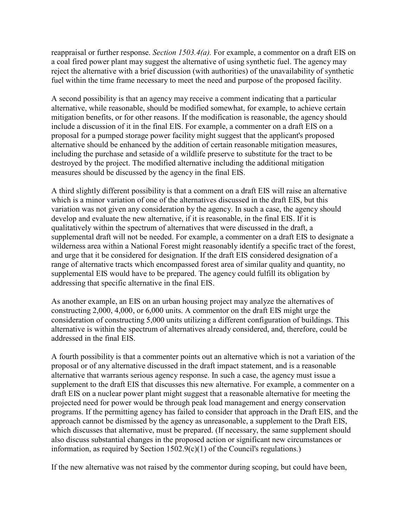reappraisal or further response. *Section 1503.4(a).* For example, a commentor on a draft EIS on a coal fired power plant may suggest the alternative of using synthetic fuel. The agency may reject the alternative with a brief discussion (with authorities) of the unavailability of synthetic fuel within the time frame necessary to meet the need and purpose of the proposed facility.

A second possibility is that an agency may receive a comment indicating that a particular alternative, while reasonable, should be modified somewhat, for example, to achieve certain mitigation benefits, or for other reasons. If the modification is reasonable, the agency should include a discussion of it in the final EIS. For example, a commenter on a draft EIS on a proposal for a pumped storage power facility might suggest that the applicant's proposed alternative should be enhanced by the addition of certain reasonable mitigation measures, including the purchase and setaside of a wildlife preserve to substitute for the tract to be destroyed by the project. The modified alternative including the additional mitigation measures should be discussed by the agency in the final EIS.

A third slightly different possibility is that a comment on a draft EIS will raise an alternative which is a minor variation of one of the alternatives discussed in the draft EIS, but this variation was not given any consideration by the agency. In such a case, the agency should develop and evaluate the new alternative, if it is reasonable, in the final EIS. If it is qualitatively within the spectrum of alternatives that were discussed in the draft, a supplemental draft will not be needed. For example, a commenter on a draft EIS to designate a wilderness area within a National Forest might reasonably identify a specific tract of the forest, and urge that it be considered for designation. If the draft EIS considered designation of a range of alternative tracts which encompassed forest area of similar quality and quantity, no supplemental EIS would have to be prepared. The agency could fulfill its obligation by addressing that specific alternative in the final EIS.

As another example, an EIS on an urban housing project may analyze the alternatives of constructing 2,000, 4,000, or 6,000 units. A commentor on the draft EIS might urge the consideration of constructing 5,000 units utilizing a different configuration of buildings. This alternative is within the spectrum of alternatives already considered, and, therefore, could be addressed in the final EIS.

A fourth possibility is that a commenter points out an alternative which is not a variation of the proposal or of any alternative discussed in the draft impact statement, and is a reasonable alternative that warrants serious agency response. In such a case, the agency must issue a supplement to the draft EIS that discusses this new alternative. For example, a commenter on a draft EIS on a nuclear power plant might suggest that a reasonable alternative for meeting the projected need for power would be through peak load management and energy conservation programs. If the permitting agency has failed to consider that approach in the Draft EIS, and the approach cannot be dismissed by the agency as unreasonable, a supplement to the Draft EIS, which discusses that alternative, must be prepared. (If necessary, the same supplement should also discuss substantial changes in the proposed action or significant new circumstances or information, as required by Section 1502.9(c)(1) of the Council's regulations.)

If the new alternative was not raised by the commentor during scoping, but could have been,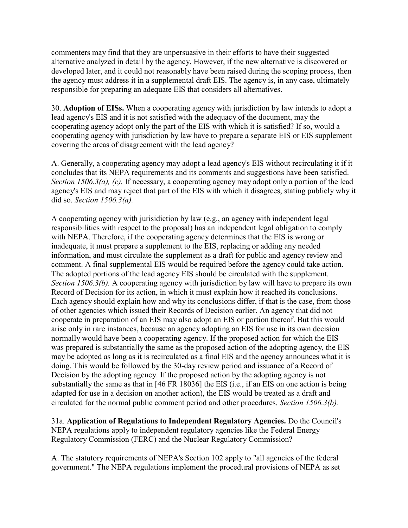commenters may find that they are unpersuasive in their efforts to have their suggested alternative analyzed in detail by the agency. However, if the new alternative is discovered or developed later, and it could not reasonably have been raised during the scoping process, then the agency must address it in a supplemental draft EIS. The agency is, in any case, ultimately responsible for preparing an adequate EIS that considers all alternatives.

<span id="page-22-0"></span>30. **Adoption of EISs.** When a cooperating agency with jurisdiction by law intends to adopt a lead agency's EIS and it is not satisfied with the adequacy of the document, may the cooperating agency adopt only the part of the EIS with which it is satisfied? If so, would a cooperating agency with jurisdiction by law have to prepare a separate EIS or EIS supplement covering the areas of disagreement with the lead agency?

A. Generally, a cooperating agency may adopt a lead agency's EIS without recirculating it if it concludes that its NEPA requirements and its comments and suggestions have been satisfied. *Section 1506.3(a), (c).* If necessary, a cooperating agency may adopt only a portion of the lead agency's EIS and may reject that part of the EIS with which it disagrees, stating publicly why it did so. *Section 1506.3(a).*

A cooperating agency with jurisidiction by law (e.g., an agency with independent legal responsibilities with respect to the proposal) has an independent legal obligation to comply with NEPA. Therefore, if the cooperating agency determines that the EIS is wrong or inadequate, it must prepare a supplement to the EIS, replacing or adding any needed information, and must circulate the supplement as a draft for public and agency review and comment. A final supplemental EIS would be required before the agency could take action. The adopted portions of the lead agency EIS should be circulated with the supplement. *Section 1506.3(b).* A cooperating agency with jurisdiction by law will have to prepare its own Record of Decision for its action, in which it must explain how it reached its conclusions. Each agency should explain how and why its conclusions differ, if that is the case, from those of other agencies which issued their Records of Decision earlier. An agency that did not cooperate in preparation of an EIS may also adopt an EIS or portion thereof. But this would arise only in rare instances, because an agency adopting an EIS for use in its own decision normally would have been a cooperating agency. If the proposed action for which the EIS was prepared is substantially the same as the proposed action of the adopting agency, the EIS may be adopted as long as it is recirculated as a final EIS and the agency announces what it is doing. This would be followed by the 30-day review period and issuance of a Record of Decision by the adopting agency. If the proposed action by the adopting agency is not substantially the same as that in [46 FR 18036] the EIS (i.e., if an EIS on one action is being adapted for use in a decision on another action), the EIS would be treated as a draft and circulated for the normal public comment period and other procedures. *Section 1506.3(b).*

<span id="page-22-1"></span>31a. **Application of Regulations to Independent Regulatory Agencies.** Do the Council's NEPA regulations apply to independent regulatory agencies like the Federal Energy Regulatory Commission (FERC) and the Nuclear Regulatory Commission?

A. The statutory requirements of NEPA's Section 102 apply to "all agencies of the federal government." The NEPA regulations implement the procedural provisions of NEPA as set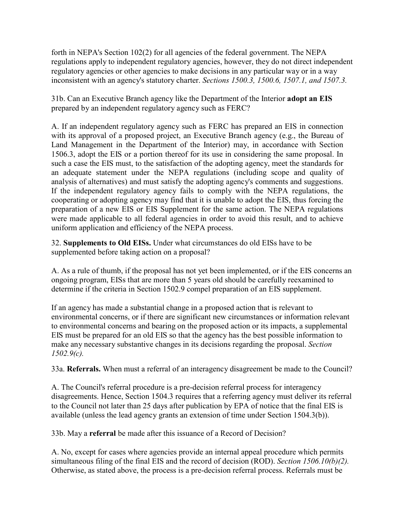forth in NEPA's Section 102(2) for all agencies of the federal government. The NEPA regulations apply to independent regulatory agencies, however, they do not direct independent regulatory agencies or other agencies to make decisions in any particular way or in a way inconsistent with an agency's statutory charter. *Sections 1500.3, 1500.6, 1507.1, and 1507.3.*

31b. Can an Executive Branch agency like the Department of the Interior **adopt an EIS**  prepared by an independent regulatory agency such as FERC?

A. If an independent regulatory agency such as FERC has prepared an EIS in connection with its approval of a proposed project, an Executive Branch agency (e.g., the Bureau of Land Management in the Department of the Interior) may, in accordance with Section 1506.3, adopt the EIS or a portion thereof for its use in considering the same proposal. In such a case the EIS must, to the satisfaction of the adopting agency, meet the standards for an adequate statement under the NEPA regulations (including scope and quality of analysis of alternatives) and must satisfy the adopting agency's comments and suggestions. If the independent regulatory agency fails to comply with the NEPA regulations, the cooperating or adopting agency may find that it is unable to adopt the EIS, thus forcing the preparation of a new EIS or EIS Supplement for the same action. The NEPA regulations were made applicable to all federal agencies in order to avoid this result, and to achieve uniform application and efficiency of the NEPA process.

<span id="page-23-0"></span>32. **Supplements to Old EISs.** Under what circumstances do old EISs have to be supplemented before taking action on a proposal?

A. As a rule of thumb, if the proposal has not yet been implemented, or if the EIS concerns an ongoing program, EISs that are more than 5 years old should be carefully reexamined to determine if the criteria in Section 1502.9 compel preparation of an EIS supplement.

If an agency has made a substantial change in a proposed action that is relevant to environmental concerns, or if there are significant new circumstances or information relevant to environmental concerns and bearing on the proposed action or its impacts, a supplemental EIS must be prepared for an old EIS so that the agency has the best possible information to make any necessary substantive changes in its decisions regarding the proposal. *Section 1502.9(c).*

<span id="page-23-1"></span>33a. **Referrals.** When must a referral of an interagency disagreement be made to the Council?

A. The Council's referral procedure is a pre-decision referral process for interagency disagreements. Hence, Section 1504.3 requires that a referring agency must deliver its referral to the Council not later than 25 days after publication by EPA of notice that the final EIS is available (unless the lead agency grants an extension of time under Section 1504.3(b)).

33b. May a **referral** be made after this issuance of a Record of Decision?

A. No, except for cases where agencies provide an internal appeal procedure which permits simultaneous filing of the final EIS and the record of decision (ROD). *Section 1506.10(b)(2).* Otherwise, as stated above, the process is a pre-decision referral process. Referrals must be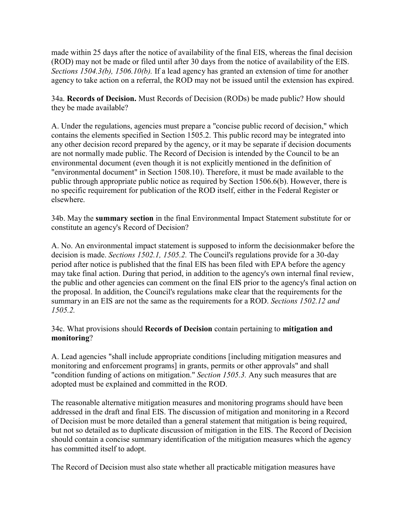made within 25 days after the notice of availability of the final EIS, whereas the final decision (ROD) may not be made or filed until after 30 days from the notice of availability of the EIS. *Sections 1504.3(b), 1506.10(b).* If a lead agency has granted an extension of time for another agency to take action on a referral, the ROD may not be issued until the extension has expired.

<span id="page-24-0"></span>34a. **Records of Decision.** Must Records of Decision (RODs) be made public? How should they be made available?

A. Under the regulations, agencies must prepare a "concise public record of decision," which contains the elements specified in Section 1505.2. This public record may be integrated into any other decision record prepared by the agency, or it may be separate if decision documents are not normally made public. The Record of Decision is intended by the Council to be an environmental document (even though it is not explicitly mentioned in the definition of "environmental document" in Section 1508.10). Therefore, it must be made available to the public through appropriate public notice as required by Section 1506.6(b). However, there is no specific requirement for publication of the ROD itself, either in the Federal Register or elsewhere.

34b. May the **summary section** in the final Environmental Impact Statement substitute for or constitute an agency's Record of Decision?

A. No. An environmental impact statement is supposed to inform the decisionmaker before the decision is made. *Sections 1502.1, 1505.2.* The Council's regulations provide for a 30-day period after notice is published that the final EIS has been filed with EPA before the agency may take final action. During that period, in addition to the agency's own internal final review, the public and other agencies can comment on the final EIS prior to the agency's final action on the proposal. In addition, the Council's regulations make clear that the requirements for the summary in an EIS are not the same as the requirements for a ROD. *Sections 1502.12 and 1505.2.*

## 34c. What provisions should **Records of Decision** contain pertaining to **mitigation and monitoring**?

A. Lead agencies "shall include appropriate conditions [including mitigation measures and monitoring and enforcement programs] in grants, permits or other approvals" and shall "condition funding of actions on mitigation." *Section 1505.3.* Any such measures that are adopted must be explained and committed in the ROD.

The reasonable alternative mitigation measures and monitoring programs should have been addressed in the draft and final EIS. The discussion of mitigation and monitoring in a Record of Decision must be more detailed than a general statement that mitigation is being required, but not so detailed as to duplicate discussion of mitigation in the EIS. The Record of Decision should contain a concise summary identification of the mitigation measures which the agency has committed itself to adopt.

The Record of Decision must also state whether all practicable mitigation measures have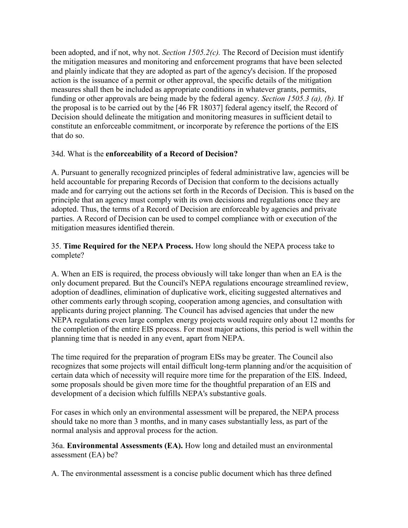been adopted, and if not, why not. *Section 1505.2(c).* The Record of Decision must identify the mitigation measures and monitoring and enforcement programs that have been selected and plainly indicate that they are adopted as part of the agency's decision. If the proposed action is the issuance of a permit or other approval, the specific details of the mitigation measures shall then be included as appropriate conditions in whatever grants, permits, funding or other approvals are being made by the federal agency. *Section 1505.3 (a), (b).* If the proposal is to be carried out by the [46 FR 18037] federal agency itself, the Record of Decision should delineate the mitigation and monitoring measures in sufficient detail to constitute an enforceable commitment, or incorporate by reference the portions of the EIS that do so.

## 34d. What is the **enforceability of a Record of Decision?**

A. Pursuant to generally recognized principles of federal administrative law, agencies will be held accountable for preparing Records of Decision that conform to the decisions actually made and for carrying out the actions set forth in the Records of Decision. This is based on the principle that an agency must comply with its own decisions and regulations once they are adopted. Thus, the terms of a Record of Decision are enforceable by agencies and private parties. A Record of Decision can be used to compel compliance with or execution of the mitigation measures identified therein.

<span id="page-25-0"></span>35. **Time Required for the NEPA Process.** How long should the NEPA process take to complete?

A. When an EIS is required, the process obviously will take longer than when an EA is the only document prepared. But the Council's NEPA regulations encourage streamlined review, adoption of deadlines, elimination of duplicative work, eliciting suggested alternatives and other comments early through scoping, cooperation among agencies, and consultation with applicants during project planning. The Council has advised agencies that under the new NEPA regulations even large complex energy projects would require only about 12 months for the completion of the entire EIS process. For most major actions, this period is well within the planning time that is needed in any event, apart from NEPA.

The time required for the preparation of program EISs may be greater. The Council also recognizes that some projects will entail difficult long-term planning and/or the acquisition of certain data which of necessity will require more time for the preparation of the EIS. Indeed, some proposals should be given more time for the thoughtful preparation of an EIS and development of a decision which fulfills NEPA's substantive goals.

For cases in which only an environmental assessment will be prepared, the NEPA process should take no more than 3 months, and in many cases substantially less, as part of the normal analysis and approval process for the action.

<span id="page-25-1"></span>36a. **Environmental Assessments (EA).** How long and detailed must an environmental assessment (EA) be?

A. The environmental assessment is a concise public document which has three defined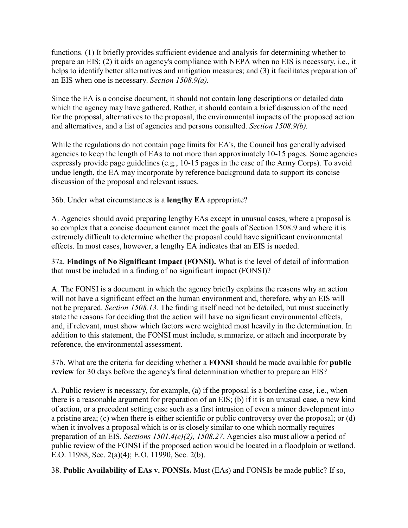functions. (1) It briefly provides sufficient evidence and analysis for determining whether to prepare an EIS; (2) it aids an agency's compliance with NEPA when no EIS is necessary, i.e., it helps to identify better alternatives and mitigation measures; and (3) it facilitates preparation of an EIS when one is necessary. *Section 1508.9(a).*

Since the EA is a concise document, it should not contain long descriptions or detailed data which the agency may have gathered. Rather, it should contain a brief discussion of the need for the proposal, alternatives to the proposal, the environmental impacts of the proposed action and alternatives, and a list of agencies and persons consulted. *Section 1508.9(b).*

While the regulations do not contain page limits for EA's, the Council has generally advised agencies to keep the length of EAs to not more than approximately 10-15 pages. Some agencies expressly provide page guidelines (e.g., 10-15 pages in the case of the Army Corps). To avoid undue length, the EA may incorporate by reference background data to support its concise discussion of the proposal and relevant issues.

36b. Under what circumstances is a **lengthy EA** appropriate?

A. Agencies should avoid preparing lengthy EAs except in unusual cases, where a proposal is so complex that a concise document cannot meet the goals of Section 1508.9 and where it is extremely difficult to determine whether the proposal could have significant environmental effects. In most cases, however, a lengthy EA indicates that an EIS is needed.

<span id="page-26-0"></span>37a. **Findings of No Significant Impact (FONSI).** What is the level of detail of information that must be included in a finding of no significant impact (FONSI)?

A. The FONSI is a document in which the agency briefly explains the reasons why an action will not have a significant effect on the human environment and, therefore, why an EIS will not be prepared. *Section 1508.13.* The finding itself need not be detailed, but must succinctly state the reasons for deciding that the action will have no significant environmental effects, and, if relevant, must show which factors were weighted most heavily in the determination. In addition to this statement, the FONSI must include, summarize, or attach and incorporate by reference, the environmental assessment.

37b. What are the criteria for deciding whether a **FONSI** should be made available for **public review** for 30 days before the agency's final determination whether to prepare an EIS?

A. Public review is necessary, for example, (a) if the proposal is a borderline case, i.e., when there is a reasonable argument for preparation of an EIS; (b) if it is an unusual case, a new kind of action, or a precedent setting case such as a first intrusion of even a minor development into a pristine area; (c) when there is either scientific or public controversy over the proposal; or (d) when it involves a proposal which is or is closely similar to one which normally requires preparation of an EIS. *Sections 1501.4(e)(2), 1508.27*. Agencies also must allow a period of public review of the FONSI if the proposed action would be located in a floodplain or wetland. E.O. 11988, Sec. 2(a)(4); E.O. 11990, Sec. 2(b).

<span id="page-26-1"></span>38. **Public Availability of EAs v. FONSIs.** Must (EAs) and FONSIs be made public? If so,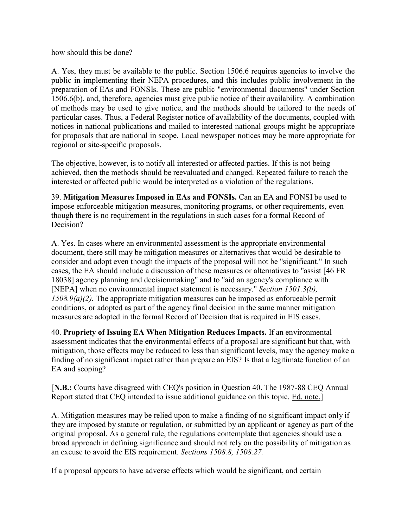how should this be done?

A. Yes, they must be available to the public. Section 1506.6 requires agencies to involve the public in implementing their NEPA procedures, and this includes public involvement in the preparation of EAs and FONSIs. These are public "environmental documents" under Section 1506.6(b), and, therefore, agencies must give public notice of their availability. A combination of methods may be used to give notice, and the methods should be tailored to the needs of particular cases. Thus, a Federal Register notice of availability of the documents, coupled with notices in national publications and mailed to interested national groups might be appropriate for proposals that are national in scope. Local newspaper notices may be more appropriate for regional or site-specific proposals.

The objective, however, is to notify all interested or affected parties. If this is not being achieved, then the methods should be reevaluated and changed. Repeated failure to reach the interested or affected public would be interpreted as a violation of the regulations.

<span id="page-27-0"></span>39. **Mitigation Measures Imposed in EAs and FONSIs.** Can an EA and FONSI be used to impose enforceable mitigation measures, monitoring programs, or other requirements, even though there is no requirement in the regulations in such cases for a formal Record of Decision?

A. Yes. In cases where an environmental assessment is the appropriate environmental document, there still may be mitigation measures or alternatives that would be desirable to consider and adopt even though the impacts of the proposal will not be "significant." In such cases, the EA should include a discussion of these measures or alternatives to "assist [46 FR 18038] agency planning and decisionmaking" and to "aid an agency's compliance with [NEPA] when no environmental impact statement is necessary." *Section 1501.3(b), 1508.9(a)(2).* The appropriate mitigation measures can be imposed as enforceable permit conditions, or adopted as part of the agency final decision in the same manner mitigation measures are adopted in the formal Record of Decision that is required in EIS cases.

<span id="page-27-1"></span>40. **Propriety of Issuing EA When Mitigation Reduces Impacts.** If an environmental assessment indicates that the environmental effects of a proposal are significant but that, with mitigation, those effects may be reduced to less than significant levels, may the agency make a finding of no significant impact rather than prepare an EIS? Is that a legitimate function of an EA and scoping?

[**N.B.:** Courts have disagreed with CEQ's position in Question 40. The 1987-88 CEQ Annual Report stated that CEQ intended to issue additional guidance on this topic. Ed. note.]

A. Mitigation measures may be relied upon to make a finding of no significant impact only if they are imposed by statute or regulation, or submitted by an applicant or agency as part of the original proposal. As a general rule, the regulations contemplate that agencies should use a broad approach in defining significance and should not rely on the possibility of mitigation as an excuse to avoid the EIS requirement. *Sections 1508.8, 1508.27.*

If a proposal appears to have adverse effects which would be significant, and certain